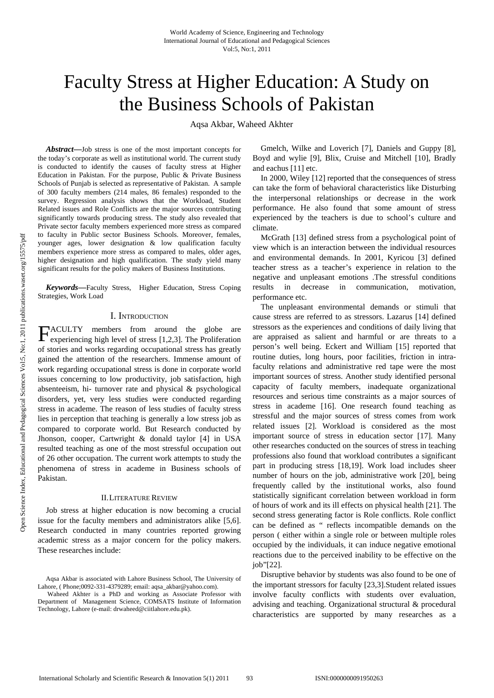# Faculty Stress at Higher Education: A Study on the Business Schools of Pakistan

Aqsa Akbar, Waheed Akhter

*Abstract***—**Job stress is one of the most important concepts for the today's corporate as well as institutional world. The current study is conducted to identify the causes of faculty stress at Higher Education in Pakistan. For the purpose, Public & Private Business Schools of Punjab is selected as representative of Pakistan. A sample of 300 faculty members (214 males, 86 females) responded to the survey. Regression analysis shows that the Workload, Student Related issues and Role Conflicts are the major sources contributing significantly towards producing stress. The study also revealed that Private sector faculty members experienced more stress as compared to faculty in Public sector Business Schools. Moreover, females, younger ages, lower designation & low qualification faculty members experience more stress as compared to males, older ages, higher designation and high qualification. The study yield many significant results for the policy makers of Business Institutions.

*Keywords***—**Faculty Stress, Higher Education, Stress Coping Strategies, Work Load

# I. INTRODUCTION

ACULTY members from around the globe are **EXECULTY** members from around the globe are experiencing high level of stress [1,2,3]. The Proliferation of stories and works regarding occupational stress has greatly gained the attention of the researchers. Immense amount of work regarding occupational stress is done in corporate world issues concerning to low productivity, job satisfaction, high absenteeism, hi- turnover rate and physical & psychological disorders, yet, very less studies were conducted regarding stress in academe. The reason of less studies of faculty stress lies in perception that teaching is generally a low stress job as compared to corporate world. But Research conducted by Jhonson, cooper, Cartwright & donald taylor [4] in USA resulted teaching as one of the most stressful occupation out of 26 other occupation. The current work attempts to study the phenomena of stress in academe in Business schools of Pakistan.

## II.LITERATURE REVIEW

Job stress at higher education is now becoming a crucial issue for the faculty members and administrators alike [5,6]. Research conducted in many countries reported growing academic stress as a major concern for the policy makers. These researches include:

Gmelch, Wilke and Loverich [7], Daniels and Guppy [8], Boyd and wylie [9], Blix, Cruise and Mitchell [10], Bradly and eachus [11] etc.

In 2000, Wiley [12] reported that the consequences of stress can take the form of behavioral characteristics like Disturbing the interpersonal relationships or decrease in the work performance. He also found that some amount of stress experienced by the teachers is due to school's culture and climate.

McGrath [13] defined stress from a psychological point of view which is an interaction between the individual resources and environmental demands. In 2001, Kyricou [3] defined teacher stress as a teacher's experience in relation to the negative and unpleasant emotions .The stressful conditions results in decrease in communication, motivation, performance etc.

The unpleasant environmental demands or stimuli that cause stress are referred to as stressors. Lazarus [14] defined stressors as the experiences and conditions of daily living that are appraised as salient and harmful or are threats to a person's well being. Eckert and William [15] reported that routine duties, long hours, poor facilities, friction in intrafaculty relations and administrative red tape were the most important sources of stress. Another study identified personal capacity of faculty members, inadequate organizational resources and serious time constraints as a major sources of stress in academe [16]. One research found teaching as stressful and the major sources of stress comes from work related issues [2]. Workload is considered as the most important source of stress in education sector [17]. Many other researches conducted on the sources of stress in teaching professions also found that workload contributes a significant part in producing stress [18,19]. Work load includes sheer number of hours on the job, administrative work [20], being frequently called by the institutional works, also found statistically significant correlation between workload in form of hours of work and its ill effects on physical health [21]. The second stress generating factor is Role conflicts. Role conflict can be defined as " reflects incompatible demands on the person ( either within a single role or between multiple roles occupied by the individuals, it can induce negative emotional reactions due to the perceived inability to be effective on the job"[22].

Disruptive behavior by students was also found to be one of the important stressors for faculty [23,3].Student related issues involve faculty conflicts with students over evaluation, advising and teaching. Organizational structural & procedural characteristics are supported by many researches as a

Aqsa Akbar is associated with Lahore Business School, The University of Lahore, ( Phone; 0092-331-4379289; email: aqsa\_akbar@yahoo.com).

Waheed Akhter is a PhD and working as Associate Professor with Department of Management Science, COMSATS Institute of Information Technology, Lahore (e-mail: drwaheed@ciitlahore.edu.pk).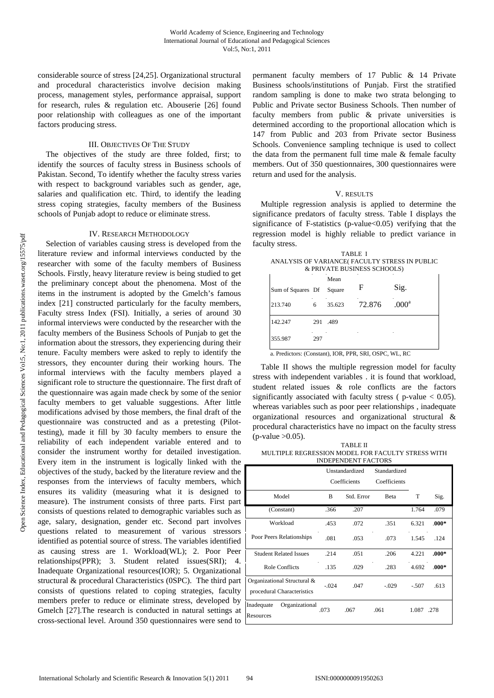considerable source of stress [24,25]. Organizational structural and procedural characteristics involve decision making process, management styles, performance appraisal, support for research, rules & regulation etc. Abouserie [26] found poor relationship with colleagues as one of the important factors producing stress.

# III. OBJECTIVES OF THE STUDY

The objectives of the study are three folded, first; to identify the sources of faculty stress in Business schools of Pakistan. Second, To identify whether the faculty stress varies with respect to background variables such as gender, age, salaries and qualification etc. Third, to identify the leading stress coping strategies, faculty members of the Business schools of Punjab adopt to reduce or eliminate stress.

## IV. RESEARCH METHODOLOGY

Selection of variables causing stress is developed from the literature review and informal interviews conducted by the researcher with some of the faculty members of Business Schools. Firstly, heavy literature review is being studied to get the preliminary concept about the phenomena. Most of the items in the instrument is adopted by the Gmelch's famous index [21] constructed particularly for the faculty members, Faculty stress Index (FSI). Initially, a series of around 30 informal interviews were conducted by the researcher with the faculty members of the Business Schools of Punjab to get the information about the stressors, they experiencing during their tenure. Faculty members were asked to reply to identify the stressors, they encounter during their working hours. The informal interviews with the faculty members played a significant role to structure the questionnaire. The first draft of the questionnaire was again made check by some of the senior faculty members to get valuable suggestions. After little modifications advised by those members, the final draft of the questionnaire was constructed and as a pretesting (Pilottesting), made it fill by 30 faculty members to ensure the reliability of each independent variable entered and to consider the instrument worthy for detailed investigation. Every item in the instrument is logically linked with the objectives of the study, backed by the literature review and the responses from the interviews of faculty members, which ensures its validity (measuring what it is designed to measure). The instrument consists of three parts. First part consists of questions related to demographic variables such as age, salary, designation, gender etc. Second part involves questions related to measurement of various stressors identified as potential source of stress. The variables identified as causing stress are 1. Workload(WL); 2. Poor Peer relationships(PPR); 3. Student related issues(SRI); 4. Inadequate Organizational resources(IOR); 5. Organizational structural & procedural Characteristics (0SPC). The third part consists of questions related to coping strategies, faculty members prefer to reduce or eliminate stress, developed by Gmelch [27].The research is conducted in natural settings at cross-sectional level. Around 350 questionnaires were send to permanent faculty members of 17 Public & 14 Private Business schools/institutions of Punjab. First the stratified random sampling is done to make two strata belonging to Public and Private sector Business Schools. Then number of faculty members from public & private universities is determined according to the proportional allocation which is 147 from Public and 203 from Private sector Business Schools. Convenience sampling technique is used to collect the data from the permanent full time male & female faculty members. Out of 350 questionnaires, 300 questionnaires were return and used for the analysis.

## V. RESULTS

Multiple regression analysis is applied to determine the significance predators of faculty stress. Table I displays the significance of F-statistics (p-value $<0.05$ ) verifying that the regression model is highly reliable to predict variance in faculty stress.

| TARLE I                                       |
|-----------------------------------------------|
| ANALYSIS OF VARIANCE(FACULTY STRESS IN PUBLIC |
| & PRIVATE BUSINESS SCHOOLS)                   |

| Sum of Squares Df Square |     | Mean   | F      | Sig.              |
|--------------------------|-----|--------|--------|-------------------|
| 213.740                  | 6   | 35.623 | 72.876 | .000 <sup>a</sup> |
| 142.247                  | 291 | .489   |        |                   |
| 355.987                  | 297 |        |        |                   |

a. Predictors: (Constant), IOR, PPR, SRI, OSPC, WL, RC

Table II shows the multiple regression model for faculty stress with independent variables . it is found that workload, student related issues & role conflicts are the factors significantly associated with faculty stress ( $p$ -value  $< 0.05$ ). whereas variables such as poor peer relationships , inadequate organizational resources and organizational structural & procedural characteristics have no impact on the faculty stress  $(p-value > 0.05)$ .

TABLE II MULTIPLE REGRESSION MODEL FOR FACULTY STRESS WITH INDEPENDENT FACTORS

|                                                           | Unstandardized<br>Coefficients |            | Standardized<br>Coefficients |         |         |
|-----------------------------------------------------------|--------------------------------|------------|------------------------------|---------|---------|
| Model                                                     | B                              | Std. Error | Beta                         | T       | Sig.    |
| (Constant)                                                | .366                           | .207       |                              | 1.764   | .079    |
| Workload                                                  | .453                           | .072       | .351                         | 6.321   | $.000*$ |
| Poor Peers Relationships                                  | .081                           | .053       | .073                         | 1.545   | .124    |
| <b>Student Related Issues</b>                             | .214                           | .051       | .206                         | 4.221   | $.000*$ |
| <b>Role Conflicts</b>                                     | .135                           | .029       | .283                         | 4.692   | $.000*$ |
| Organizational Structural &<br>procedural Characteristics | $-.024$                        | .047       | $-.029$                      | $-.507$ | .613    |
| Inadequate<br>Organizational<br>Resources                 | .073                           | .067       | .061                         | 1.087   | .278    |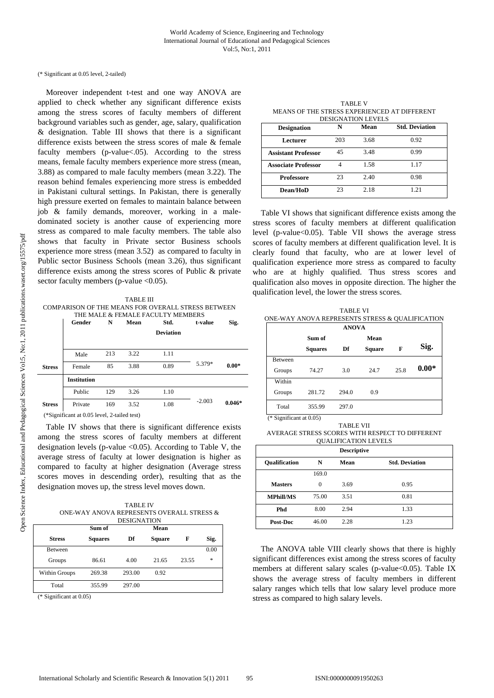#### (\* Significant at 0.05 level, 2-tailed)

Moreover independent t-test and one way ANOVA are applied to check whether any significant difference exists among the stress scores of faculty members of different background variables such as gender, age, salary, qualification & designation. Table III shows that there is a significant difference exists between the stress scores of male & female faculty members (p-value<.05). According to the stress means, female faculty members experience more stress (mean, 3.88) as compared to male faculty members (mean 3.22). The reason behind females experiencing more stress is embedded in Pakistani cultural settings. In Pakistan, there is generally high pressure exerted on females to maintain balance between job & family demands, moreover, working in a maledominated society is another cause of experiencing more stress as compared to male faculty members. The table also shows that faculty in Private sector Business schools experience more stress (mean 3.52) as compared to faculty in Public sector Business Schools (mean 3.26), thus significant difference exists among the stress scores of Public & private sector faculty members (p-value <0.05).

TABLE III COMPARISON OF THE MEANS FOR OVERALL STRESS BETWEEN THE MALE & FEMALE FACULTY MEMBERS

| Gender             | N   | Mean | Std.             | t-value  | Sig.     |
|--------------------|-----|------|------------------|----------|----------|
|                    |     |      | <b>Deviation</b> |          |          |
| Male               | 213 | 3.22 | 1.11             |          |          |
| Female             | 85  | 3.88 | 0.89             | 5.379*   | $0.00*$  |
| <b>Institution</b> |     |      |                  |          |          |
| Public             | 129 | 3.26 | 1.10             |          |          |
| Private            | 169 | 3.52 | 1.08             | $-2.003$ | $0.046*$ |
|                    |     |      |                  |          |          |

(\*Significant at 0.05 level, 2-tailed test)

Table IV shows that there is significant difference exists among the stress scores of faculty members at different designation levels (p-value  $\langle 0.05 \rangle$ ). According to Table V, the average stress of faculty at lower designation is higher as compared to faculty at higher designation (Average stress scores moves in descending order), resulting that as the designation moves up, the stress level moves down.

| TABLE IV                                  |
|-------------------------------------------|
| ONE-WAY ANOVA REPRESENTS OVERALL STRESS & |
| <b>DESIGNATION</b>                        |

|                | Sum of         |        | Mean          |       |      |
|----------------|----------------|--------|---------------|-------|------|
| <b>Stress</b>  | <b>Squares</b> | Df     | <b>Square</b> | F     | Sig. |
| <b>Between</b> |                |        |               |       | 0.00 |
| Groups         | 86.61          | 4.00   | 21.65         | 23.55 | *    |
| Within Groups  | 269.38         | 293.00 | 0.92          |       |      |
| Total          | 355.99         | 297.00 |               |       |      |

(\* Significant at 0.05)

TABLE V MEANS OF THE STRESS EXPERIENCED AT DIFFERENT DESIGNATION LEVELS

| <b>Designation</b>         | N   | Mean | <b>Std. Deviation</b> |
|----------------------------|-----|------|-----------------------|
|                            |     |      |                       |
| Lecturer                   | 203 | 3.68 | 0.92                  |
| <b>Assistant Professor</b> | 45  | 3.48 | 0.99                  |
| <b>Associate Professor</b> |     | 1.58 | 1.17                  |
| <b>Professore</b>          | 23  | 2.40 | 0.98                  |
| <b>Dean/HoD</b>            | 23  | 2.18 | 1.21                  |

Table VI shows that significant difference exists among the stress scores of faculty members at different qualification level (p-value<0.05). Table VII shows the average stress scores of faculty members at different qualification level. It is clearly found that faculty, who are at lower level of qualification experience more stress as compared to faculty who are at highly qualified. Thus stress scores and qualification also moves in opposite direction. The higher the qualification level, the lower the stress scores.

|                | ONE-WAY ANOVA REPRESENTS STRESS & OUALIFICATION | <b>TABLE VI</b> |               |      |         |
|----------------|-------------------------------------------------|-----------------|---------------|------|---------|
|                |                                                 | <b>ANOVA</b>    |               |      |         |
|                | Sum of                                          |                 | Mean          |      |         |
|                | <b>Squares</b>                                  | Df              | <b>Square</b> | F    | Sig.    |
| <b>Between</b> |                                                 |                 |               |      |         |
| Groups         | 74.27                                           | 3.0             | 24.7          | 25.8 | $0.00*$ |
| Within         |                                                 |                 |               |      |         |
| Groups         | 281.72                                          | 294.0           | 0.9           |      |         |
| Total          | 355.99                                          | 297.0           |               |      |         |

(\* Significant at 0.05)

TABLE VII AVERAGE STRESS SCORES WITH RESPECT TO DIFFERENT QUALIFICATION LEVELS

|                      |       | <b>Descriptive</b> |                       |
|----------------------|-------|--------------------|-----------------------|
| <b>Oualification</b> | N     | Mean               | <b>Std. Deviation</b> |
|                      | 169.0 |                    |                       |
| <b>Masters</b>       | 0     | 3.69               | 0.95                  |
| <b>MPhill/MS</b>     | 75.00 | 3.51               | 0.81                  |
| Phd                  | 8.00  | 2.94               | 1.33                  |
| Post-Doc             | 46.00 | 2.28               | 1.23                  |

The ANOVA table VIII clearly shows that there is highly significant differences exist among the stress scores of faculty members at different salary scales (p-value<0.05). Table IX shows the average stress of faculty members in different salary ranges which tells that low salary level produce more stress as compared to high salary levels.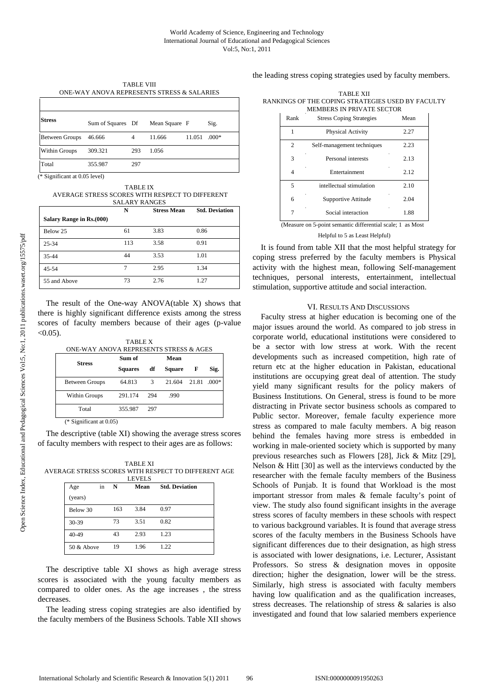TABLE VIII ONE-WAY ANOVA REPRESENTS STRESS & SALARIES

| <b>Stress</b>         | Sum of Squares Df |     | Mean Square F |        | Sig.    |
|-----------------------|-------------------|-----|---------------|--------|---------|
| <b>Between Groups</b> | 46.666            | 4   | 11.666        | 11.051 | $.000*$ |
| Within Groups         | 309.321           | 293 | 1.056         |        |         |
| Total                 | 355.987           | 297 |               |        |         |

(\* Significant at 0.05 level)

TABLE IX AVERAGE STRESS SCORES WITH RESPECT TO DIFFERENT SALARY RANGES

| Salary Range in Rs.(000) | N   | <b>Stress Mean</b> | <b>Std. Deviation</b> |
|--------------------------|-----|--------------------|-----------------------|
| Below 25                 | 61  | 3.83               | 0.86                  |
| 25-34                    | 113 | 3.58               | 0.91                  |
| $35 - 44$                | 44  | 3.53               | 1.01                  |
| 45-54                    | 7   | 2.95               | 1.34                  |
| 55 and Above             | 73  | 2.76               | 1.27                  |

The result of the One-way ANOVA(table X) shows that there is highly significant difference exists among the stress scores of faculty members because of their ages (p-value  $< 0.05$ ).

TABLE X ONE-WAY ANOVA REPRESENTS STRESS & AGES **Sum of Mean** 

| <b>Stress</b>         | Sum of         |     | Mean               |   |      |
|-----------------------|----------------|-----|--------------------|---|------|
|                       | <b>Squares</b> | df  | <b>Square</b>      | F | Sig. |
| <b>Between Groups</b> | 64.813         | 3   | 21.604 21.81 .000* |   |      |
| Within Groups         | 291.174        | 294 | .990               |   |      |
| Total                 | 355.987        | 297 |                    |   |      |

(\* Significant at 0.05)

The descriptive (table XI) showing the average stress scores of faculty members with respect to their ages are as follows:

TABLE XI AVERAGE STRESS SCORES WITH RESPECT TO DIFFERENT AGE

| <b>LEVELS</b>       |    |     |      |                       |  |
|---------------------|----|-----|------|-----------------------|--|
| Age                 | in | N   | Mean | <b>Std. Deviation</b> |  |
| (years)             |    |     |      |                       |  |
| Below 30            |    | 163 | 3.84 | 0.97                  |  |
| 30-39               |    | 73  | 3.51 | 0.82                  |  |
| 40-49               |    | 43  | 2.93 | 1.23                  |  |
| $50 & \text{Above}$ |    | 19  | 1.96 | 1 22.                 |  |

The descriptive table XI shows as high average stress scores is associated with the young faculty members as compared to older ones. As the age increases , the stress decreases.

The leading stress coping strategies are also identified by the faculty members of the Business Schools. Table XII shows the leading stress coping strategies used by faculty members.

TABLE XII RANKINGS OF THE COPING STRATEGIES USED BY FACULTY MEMBERS IN PRIVATE SECTOR

| Rank | <b>Stress Coping Strategies</b>                            | Mean |
|------|------------------------------------------------------------|------|
| 1    | Physical Activity                                          | 2.27 |
| 2    | Self-management techniques                                 | 2.23 |
| 3    | Personal interests                                         | 2.13 |
| 4    | Entertainment                                              | 2.12 |
| 5    | intellectual stimulation                                   | 2.10 |
| 6    | Supportive Attitude                                        | 2.04 |
| 7    | Social interaction                                         | 1.88 |
|      | (Measure on 5-point semantic differential scale; 1 as Most |      |

#### Helpful to 5 as Least Helpful)

It is found from table XII that the most helpful strategy for coping stress preferred by the faculty members is Physical activity with the highest mean, following Self-management techniques, personal interests, entertainment, intellectual stimulation, supportive attitude and social interaction.

## VI. RESULTS AND DISCUSSIONS

Faculty stress at higher education is becoming one of the major issues around the world. As compared to job stress in corporate world, educational institutions were considered to be a sector with low stress at work. With the recent developments such as increased competition, high rate of return etc at the higher education in Pakistan, educational institutions are occupying great deal of attention. The study yield many significant results for the policy makers of Business Institutions. On General, stress is found to be more distracting in Private sector business schools as compared to Public sector. Moreover, female faculty experience more stress as compared to male faculty members. A big reason behind the females having more stress is embedded in working in male-oriented society which is supported by many previous researches such as Flowers [28], Jick & Mitz [29], Nelson & Hitt [30] as well as the interviews conducted by the researcher with the female faculty members of the Business Schools of Punjab. It is found that Workload is the most important stressor from males & female faculty's point of view. The study also found significant insights in the average stress scores of faculty members in these schools with respect to various background variables. It is found that average stress scores of the faculty members in the Business Schools have significant differences due to their designation, as high stress is associated with lower designations, i.e. Lecturer, Assistant Professors. So stress & designation moves in opposite direction; higher the designation, lower will be the stress. Similarly, high stress is associated with faculty members having low qualification and as the qualification increases, stress decreases. The relationship of stress & salaries is also investigated and found that low salaried members experience